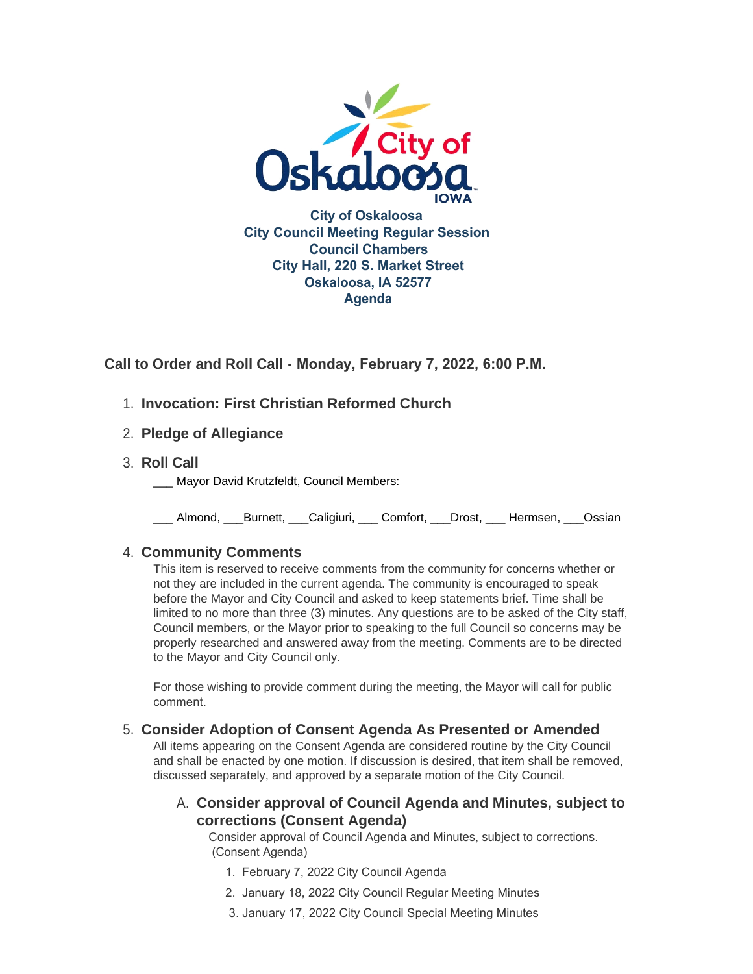

**Call to Order and Roll Call - Monday, February 7, 2022, 6:00 P.M.** 

- **Invocation: First Christian Reformed Church** 1.
- **Pledge of Allegiance** 2.
- **Roll Call** 3.
	- Mayor David Krutzfeldt, Council Members:

\_\_\_ Almond, \_\_\_Burnett, \_\_\_Caligiuri, \_\_\_ Comfort, \_\_\_Drost, \_\_\_ Hermsen, \_\_\_Ossian

# **Community Comments** 4.

This item is reserved to receive comments from the community for concerns whether or not they are included in the current agenda. The community is encouraged to speak before the Mayor and City Council and asked to keep statements brief. Time shall be limited to no more than three (3) minutes. Any questions are to be asked of the City staff, Council members, or the Mayor prior to speaking to the full Council so concerns may be properly researched and answered away from the meeting. Comments are to be directed to the Mayor and City Council only.

For those wishing to provide comment during the meeting, the Mayor will call for public comment.

## **Consider Adoption of Consent Agenda As Presented or Amended** 5.

All items appearing on the Consent Agenda are considered routine by the City Council and shall be enacted by one motion. If discussion is desired, that item shall be removed, discussed separately, and approved by a separate motion of the City Council.

# **Consider approval of Council Agenda and Minutes, subject to**  A. **corrections (Consent Agenda)**

Consider approval of Council Agenda and Minutes, subject to corrections. (Consent Agenda)

- 1. February 7, 2022 City Council Agenda
- 2. January 18, 2022 City Council Regular Meeting Minutes
- 3. January 17, 2022 City Council Special Meeting Minutes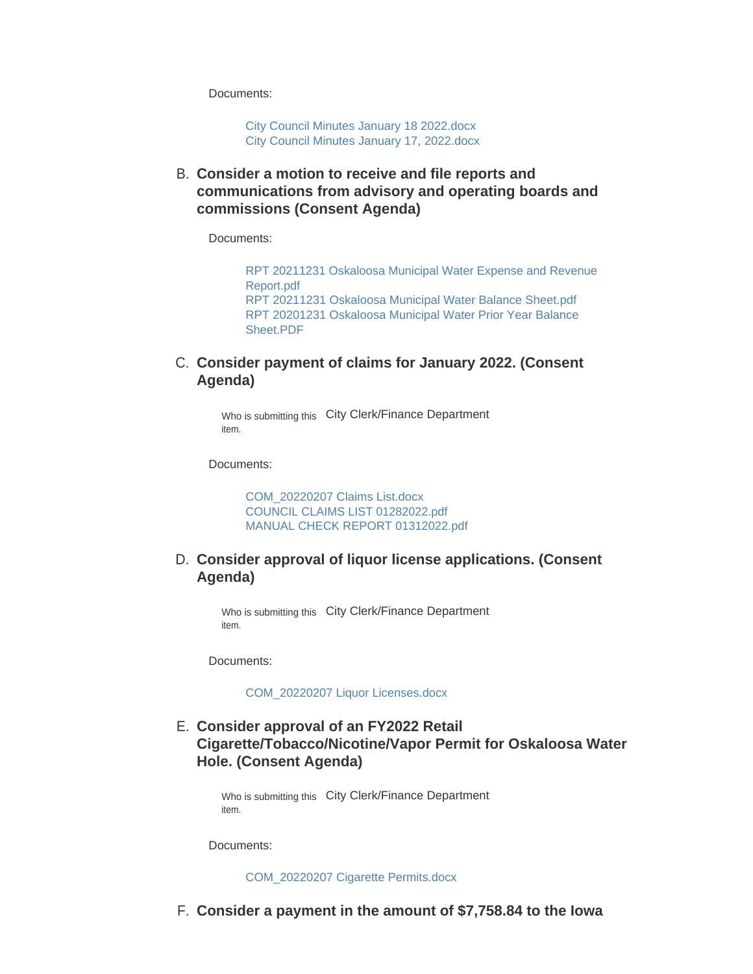Documents:

[City Council Minutes January 18 2022.docx](https://www.oskaloosaiowa.org/AgendaCenter/ViewFile/Item/9860?fileID=26053) [City Council Minutes January 17, 2022.docx](https://www.oskaloosaiowa.org/AgendaCenter/ViewFile/Item/9860?fileID=26054)

**Consider a motion to receive and file reports and**  B. **communications from advisory and operating boards and commissions (Consent Agenda)**

Documents:

[RPT 20211231 Oskaloosa Municipal Water Expense and Revenue](https://www.oskaloosaiowa.org/AgendaCenter/ViewFile/Item/9861?fileID=26055)  Report.pdf [RPT 20211231 Oskaloosa Municipal Water Balance Sheet.pdf](https://www.oskaloosaiowa.org/AgendaCenter/ViewFile/Item/9861?fileID=26056) [RPT 20201231 Oskaloosa Municipal Water Prior Year Balance](https://www.oskaloosaiowa.org/AgendaCenter/ViewFile/Item/9861?fileID=26057)  Sheet.PDF

### C. Consider payment of claims for January 2022. (Consent **Agenda)**

Who is submitting this City Clerk/Finance Department item.

Documents:

[COM\\_20220207 Claims List.docx](https://www.oskaloosaiowa.org/AgendaCenter/ViewFile/Item/9842?fileID=26006) [COUNCIL CLAIMS LIST 01282022.pdf](https://www.oskaloosaiowa.org/AgendaCenter/ViewFile/Item/9842?fileID=26015) [MANUAL CHECK REPORT 01312022.pdf](https://www.oskaloosaiowa.org/AgendaCenter/ViewFile/Item/9842?fileID=26016)

### **Consider approval of liquor license applications. (Consent**  D. **Agenda)**

Who is submitting this City Clerk/Finance Department item.

Documents:

[COM\\_20220207 Liquor Licenses.docx](https://www.oskaloosaiowa.org/AgendaCenter/ViewFile/Item/9844?fileID=26014)

## **Consider approval of an FY2022 Retail**  E. **Cigarette/Tobacco/Nicotine/Vapor Permit for Oskaloosa Water Hole. (Consent Agenda)**

Who is submitting this City Clerk/Finance Department item.

Documents:

[COM\\_20220207 Cigarette Permits.docx](https://www.oskaloosaiowa.org/AgendaCenter/ViewFile/Item/9851?fileID=26040)

**Consider a payment in the amount of \$7,758.84 to the Iowa**  F.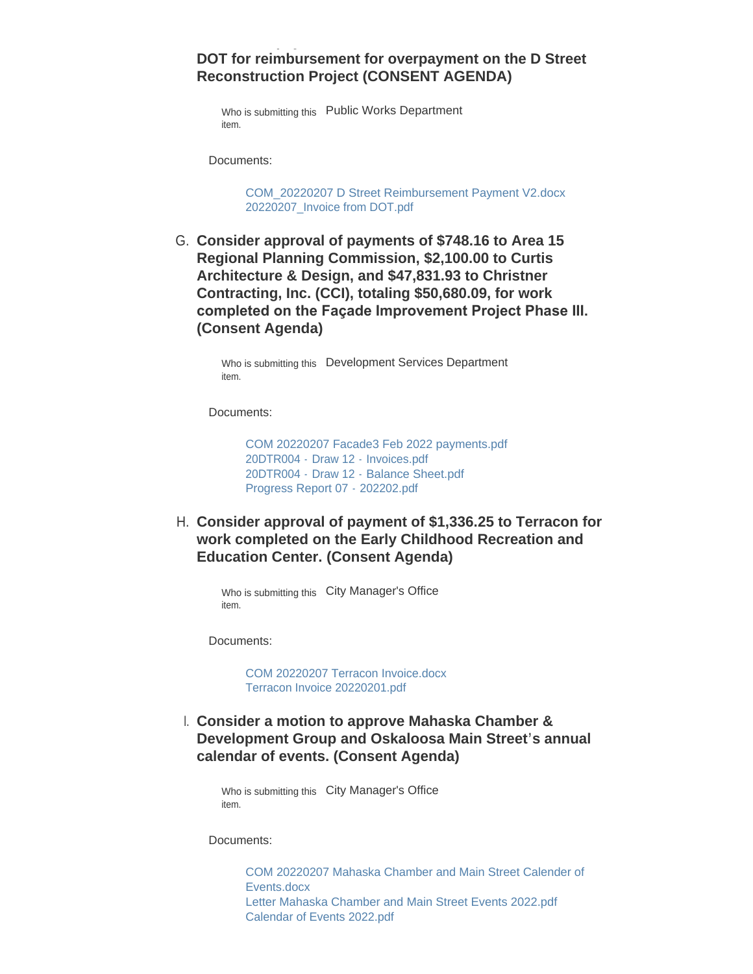### **DOT for reimbursement for overpayment on the D Street Reconstruction Project (CONSENT AGENDA)**

**Consider a payment in the amount of \$7,758.84 to the Iowa** 

Who is submitting this Public Works Department item.

Documents:

[COM\\_20220207 D Street Reimbursement Payment V2.docx](https://www.oskaloosaiowa.org/AgendaCenter/ViewFile/Item/9845?fileID=26002) [20220207\\_Invoice from DOT.pdf](https://www.oskaloosaiowa.org/AgendaCenter/ViewFile/Item/9845?fileID=26000)

G. Consider approval of payments of \$748.16 to Area 15 **Regional Planning Commission, \$2,100.00 to Curtis Architecture & Design, and \$47,831.93 to Christner Contracting, Inc. (CCI), totaling \$50,680.09, for work completed on the Façade Improvement Project Phase III. (Consent Agenda)**

> Who is submitting this Development Services Department item.

Documents:

[COM 20220207 Facade3 Feb 2022 payments.pdf](https://www.oskaloosaiowa.org/AgendaCenter/ViewFile/Item/9646?fileID=26036) 20DTR004 - Draw 12 - [Invoices.pdf](https://www.oskaloosaiowa.org/AgendaCenter/ViewFile/Item/9646?fileID=26035) 20DTR004 - Draw 12 - [Balance Sheet.pdf](https://www.oskaloosaiowa.org/AgendaCenter/ViewFile/Item/9646?fileID=26034) [Progress Report 07 -](https://www.oskaloosaiowa.org/AgendaCenter/ViewFile/Item/9646?fileID=26037) 202202.pdf

**Consider approval of payment of \$1,336.25 to Terracon for**  H. **work completed on the Early Childhood Recreation and Education Center. (Consent Agenda)**

Who is submitting this City Manager's Office item.

Documents:

[COM 20220207 Terracon Invoice.docx](https://www.oskaloosaiowa.org/AgendaCenter/ViewFile/Item/9853?fileID=26048) [Terracon Invoice 20220201.pdf](https://www.oskaloosaiowa.org/AgendaCenter/ViewFile/Item/9853?fileID=26049)

**Consider a motion to approve Mahaska Chamber &**  I. **Development Group and Oskaloosa Main Street's annual calendar of events. (Consent Agenda)**

Who is submitting this City Manager's Office item.

Documents:

[COM 20220207 Mahaska Chamber and Main Street Calender of](https://www.oskaloosaiowa.org/AgendaCenter/ViewFile/Item/9847?fileID=26021)  Events.docx [Letter Mahaska Chamber and Main Street Events 2022.pdf](https://www.oskaloosaiowa.org/AgendaCenter/ViewFile/Item/9847?fileID=26019) [Calendar of Events 2022.pdf](https://www.oskaloosaiowa.org/AgendaCenter/ViewFile/Item/9847?fileID=26017)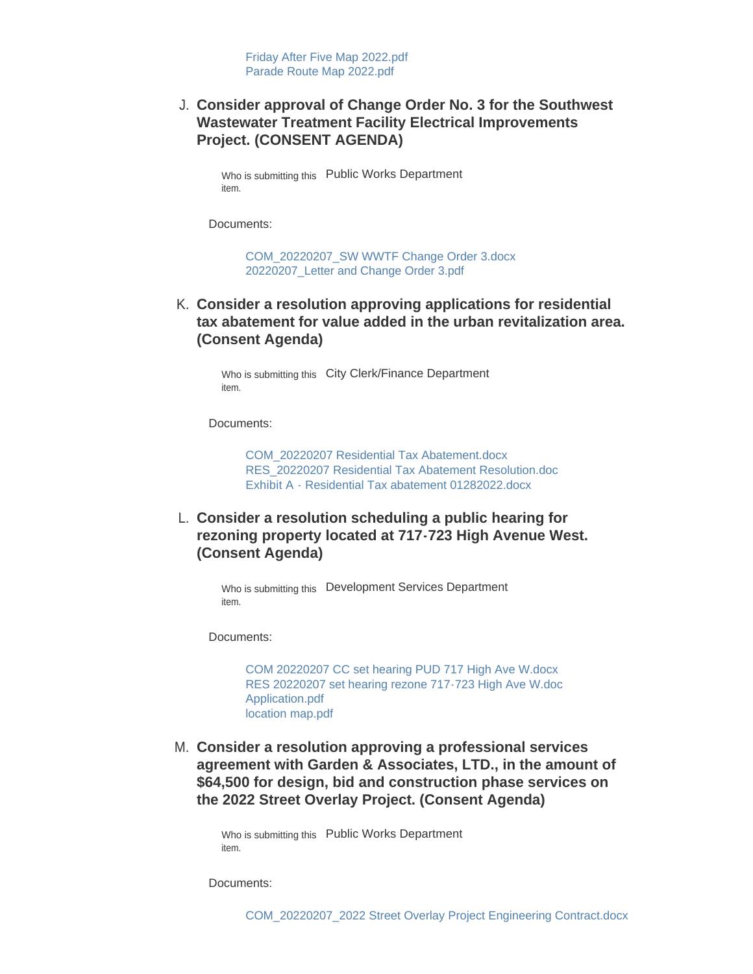## **Consider approval of Change Order No. 3 for the Southwest**  J. **Wastewater Treatment Facility Electrical Improvements Project. (CONSENT AGENDA)**

Who is submitting this Public Works Department item.

Documents:

[COM\\_20220207\\_SW WWTF Change Order 3.docx](https://www.oskaloosaiowa.org/AgendaCenter/ViewFile/Item/9848?fileID=26023) [20220207\\_Letter and Change Order 3.pdf](https://www.oskaloosaiowa.org/AgendaCenter/ViewFile/Item/9848?fileID=26024)

**Consider a resolution approving applications for residential**  K. **tax abatement for value added in the urban revitalization area. (Consent Agenda)**

Who is submitting this City Clerk/Finance Department item.

Documents:

[COM\\_20220207 Residential Tax Abatement.docx](https://www.oskaloosaiowa.org/AgendaCenter/ViewFile/Item/9846?fileID=26038) [RES\\_20220207 Residential Tax Abatement Resolution.doc](https://www.oskaloosaiowa.org/AgendaCenter/ViewFile/Item/9846?fileID=26004) [Exhibit A - Residential Tax abatement 01282022.docx](https://www.oskaloosaiowa.org/AgendaCenter/ViewFile/Item/9846?fileID=26039)

**Consider a resolution scheduling a public hearing for**  L. **rezoning property located at 717-723 High Avenue West. (Consent Agenda)**

> Who is submitting this Development Services Department item.

Documents:

[COM 20220207 CC set hearing PUD 717 High Ave W.docx](https://www.oskaloosaiowa.org/AgendaCenter/ViewFile/Item/9755?fileID=26010) [RES 20220207 set hearing rezone 717-723 High Ave W.doc](https://www.oskaloosaiowa.org/AgendaCenter/ViewFile/Item/9755?fileID=26013) [Application.pdf](https://www.oskaloosaiowa.org/AgendaCenter/ViewFile/Item/9755?fileID=26009) [location map.pdf](https://www.oskaloosaiowa.org/AgendaCenter/ViewFile/Item/9755?fileID=26011)

**Consider a resolution approving a professional services**  M. **agreement with Garden & Associates, LTD., in the amount of \$64,500 for design, bid and construction phase services on the 2022 Street Overlay Project. (Consent Agenda)**

> Who is submitting this Public Works Department item.

Documents: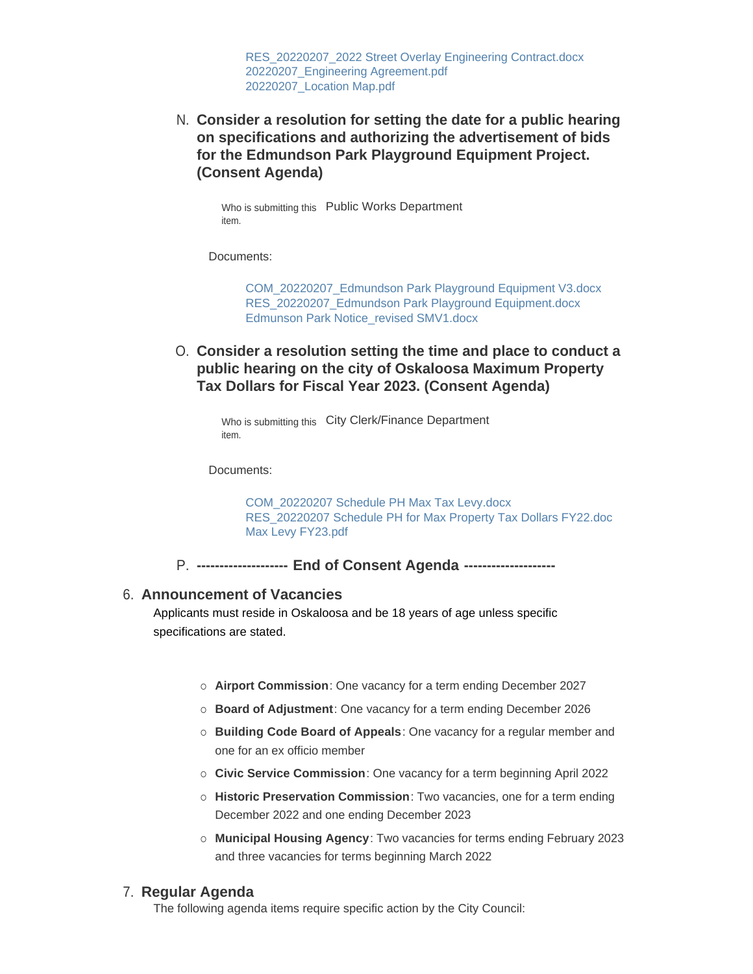[RES\\_20220207\\_2022 Street Overlay Engineering Contract.docx](https://www.oskaloosaiowa.org/AgendaCenter/ViewFile/Item/9839?fileID=26045) [20220207\\_Engineering Agreement.pdf](https://www.oskaloosaiowa.org/AgendaCenter/ViewFile/Item/9839?fileID=26046) [20220207\\_Location Map.pdf](https://www.oskaloosaiowa.org/AgendaCenter/ViewFile/Item/9839?fileID=26047)

**Consider a resolution for setting the date for a public hearing**  N. **on specifications and authorizing the advertisement of bids for the Edmundson Park Playground Equipment Project. (Consent Agenda)**

Who is submitting this Public Works Department item.

Documents:

[COM\\_20220207\\_Edmundson Park Playground Equipment V3.docx](https://www.oskaloosaiowa.org/AgendaCenter/ViewFile/Item/9852?fileID=26079) [RES\\_20220207\\_Edmundson Park Playground Equipment.docx](https://www.oskaloosaiowa.org/AgendaCenter/ViewFile/Item/9852?fileID=26042) [Edmunson Park Notice\\_revised SMV1.docx](https://www.oskaloosaiowa.org/AgendaCenter/ViewFile/Item/9852?fileID=26043)

**Consider a resolution setting the time and place to conduct a**  O. **public hearing on the city of Oskaloosa Maximum Property Tax Dollars for Fiscal Year 2023. (Consent Agenda)**

Who is submitting this City Clerk/Finance Department item.

Documents:

[COM\\_20220207 Schedule PH Max Tax Levy.docx](https://www.oskaloosaiowa.org/AgendaCenter/ViewFile/Item/9843?fileID=26029) [RES\\_20220207 Schedule PH for Max Property Tax Dollars FY22.doc](https://www.oskaloosaiowa.org/AgendaCenter/ViewFile/Item/9843?fileID=26031) [Max Levy FY23.pdf](https://www.oskaloosaiowa.org/AgendaCenter/ViewFile/Item/9843?fileID=26030)

P. -------------------- End of Consent Agenda --------------------

#### **Announcement of Vacancies** 6.

Applicants must reside in Oskaloosa and be 18 years of age unless specific specifications are stated.

- ¡ **Airport Commission**: One vacancy for a term ending December 2027
- ¡ **Board of Adjustment**: One vacancy for a term ending December 2026
- ¡ **Building Code Board of Appeals**: One vacancy for a regular member and one for an ex officio member
- ¡ **Civic Service Commission**: One vacancy for a term beginning April 2022
- ¡ **Historic Preservation Commission**: Two vacancies, one for a term ending December 2022 and one ending December 2023
- ¡ **Municipal Housing Agency**: Two vacancies for terms ending February 2023 and three vacancies for terms beginning March 2022

#### **Regular Agenda** 7.

The following agenda items require specific action by the City Council: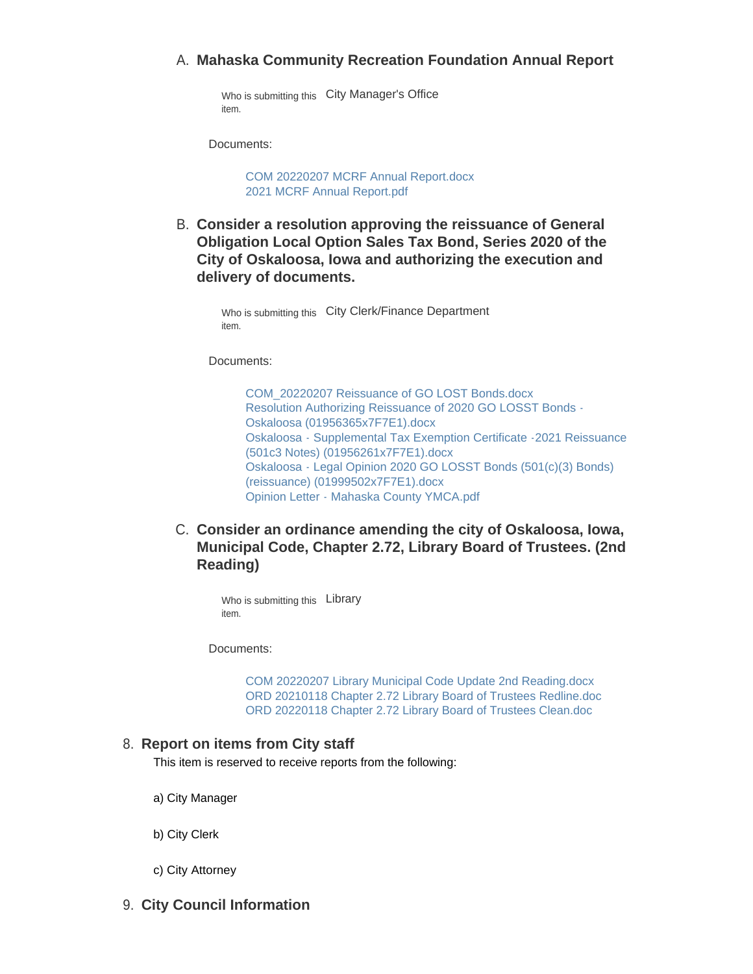## **Mahaska Community Recreation Foundation Annual Report** A.

Who is submitting this City Manager's Office item.

Documents:

[COM 20220207 MCRF Annual Report.docx](https://www.oskaloosaiowa.org/AgendaCenter/ViewFile/Item/9849?fileID=26026) [2021 MCRF Annual Report.pdf](https://www.oskaloosaiowa.org/AgendaCenter/ViewFile/Item/9849?fileID=26025)

**Consider a resolution approving the reissuance of General**  B. **Obligation Local Option Sales Tax Bond, Series 2020 of the City of Oskaloosa, Iowa and authorizing the execution and delivery of documents.**

> Who is submitting this City Clerk/Finance Department item.

Documents:

[COM\\_20220207 Reissuance of GO LOST Bonds.docx](https://www.oskaloosaiowa.org/AgendaCenter/ViewFile/Item/9850?fileID=26085) [Resolution Authorizing Reissuance of 2020 GO LOSST Bonds -](https://www.oskaloosaiowa.org/AgendaCenter/ViewFile/Item/9850?fileID=26062) Oskaloosa (01956365x7F7E1).docx [Oskaloosa - Supplemental Tax Exemption Certificate -2021 Reissuance](https://www.oskaloosaiowa.org/AgendaCenter/ViewFile/Item/9850?fileID=26063)  (501c3 Notes) (01956261x7F7E1).docx [Oskaloosa - Legal Opinion 2020 GO LOSST Bonds \(501\(c\)\(3\) Bonds\)](https://www.oskaloosaiowa.org/AgendaCenter/ViewFile/Item/9850?fileID=26064)  (reissuance) (01999502x7F7E1).docx [Opinion Letter - Mahaska County YMCA.pdf](https://www.oskaloosaiowa.org/AgendaCenter/ViewFile/Item/9850?fileID=26065)

C. Consider an ordinance amending the city of Oskaloosa, Iowa, **Municipal Code, Chapter 2.72, Library Board of Trustees. (2nd Reading)**

Who is submitting this Library item.

Documents:

[COM 20220207 Library Municipal Code Update 2nd Reading.docx](https://www.oskaloosaiowa.org/AgendaCenter/ViewFile/Item/9818?fileID=26027) [ORD 20210118 Chapter 2.72 Library Board of Trustees Redline.doc](https://www.oskaloosaiowa.org/AgendaCenter/ViewFile/Item/9818?fileID=25965) [ORD 20220118 Chapter 2.72 Library Board of Trustees Clean.doc](https://www.oskaloosaiowa.org/AgendaCenter/ViewFile/Item/9818?fileID=25966)

#### **Report on items from City staff** 8.

This item is reserved to receive reports from the following:

- a) City Manager
- b) City Clerk
- c) City Attorney
- **City Council Information** 9.